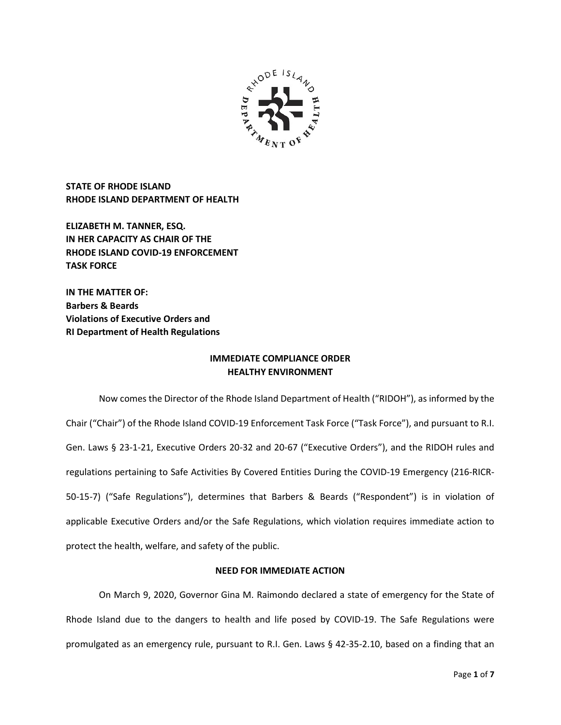

STATE OF RHODE ISLAND RHODE ISLAND DEPARTMENT OF HEALTH

ELIZABETH M. TANNER, ESQ. IN HER CAPACITY AS CHAIR OF THE RHODE ISLAND COVID-19 ENFORCEMENT TASK FORCE

IN THE MATTER OF: Barbers & Beards Violations of Executive Orders and RI Department of Health Regulations

# IMMEDIATE COMPLIANCE ORDER HEALTHY ENVIRONMENT

 Now comes the Director of the Rhode Island Department of Health ("RIDOH"), as informed by the Chair ("Chair") of the Rhode Island COVID-19 Enforcement Task Force ("Task Force"), and pursuant to R.I. Gen. Laws § 23-1-21, Executive Orders 20-32 and 20-67 ("Executive Orders"), and the RIDOH rules and regulations pertaining to Safe Activities By Covered Entities During the COVID-19 Emergency (216-RICR-50-15-7) ("Safe Regulations"), determines that Barbers & Beards ("Respondent") is in violation of applicable Executive Orders and/or the Safe Regulations, which violation requires immediate action to protect the health, welfare, and safety of the public.

## NEED FOR IMMEDIATE ACTION

On March 9, 2020, Governor Gina M. Raimondo declared a state of emergency for the State of Rhode Island due to the dangers to health and life posed by COVID-19. The Safe Regulations were promulgated as an emergency rule, pursuant to R.I. Gen. Laws § 42-35-2.10, based on a finding that an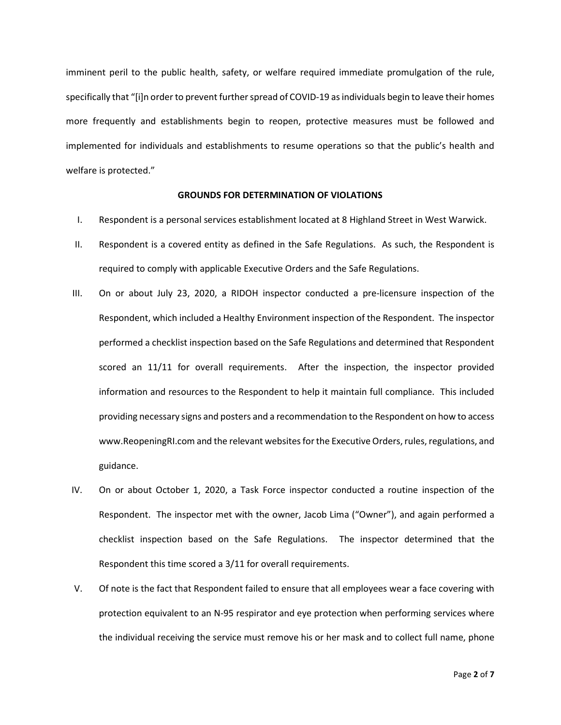imminent peril to the public health, safety, or welfare required immediate promulgation of the rule, specifically that "[i]n order to prevent further spread of COVID-19 as individuals begin to leave their homes more frequently and establishments begin to reopen, protective measures must be followed and implemented for individuals and establishments to resume operations so that the public's health and welfare is protected."

### GROUNDS FOR DETERMINATION OF VIOLATIONS

- I. Respondent is a personal services establishment located at 8 Highland Street in West Warwick.
- II. Respondent is a covered entity as defined in the Safe Regulations. As such, the Respondent is required to comply with applicable Executive Orders and the Safe Regulations.
- III. On or about July 23, 2020, a RIDOH inspector conducted a pre-licensure inspection of the Respondent, which included a Healthy Environment inspection of the Respondent. The inspector performed a checklist inspection based on the Safe Regulations and determined that Respondent scored an 11/11 for overall requirements. After the inspection, the inspector provided information and resources to the Respondent to help it maintain full compliance. This included providing necessary signs and posters and a recommendation to the Respondent on how to access www.ReopeningRI.com and the relevant websites for the Executive Orders, rules, regulations, and guidance.
- IV. On or about October 1, 2020, a Task Force inspector conducted a routine inspection of the Respondent. The inspector met with the owner, Jacob Lima ("Owner"), and again performed a checklist inspection based on the Safe Regulations. The inspector determined that the Respondent this time scored a 3/11 for overall requirements.
- V. Of note is the fact that Respondent failed to ensure that all employees wear a face covering with protection equivalent to an N-95 respirator and eye protection when performing services where the individual receiving the service must remove his or her mask and to collect full name, phone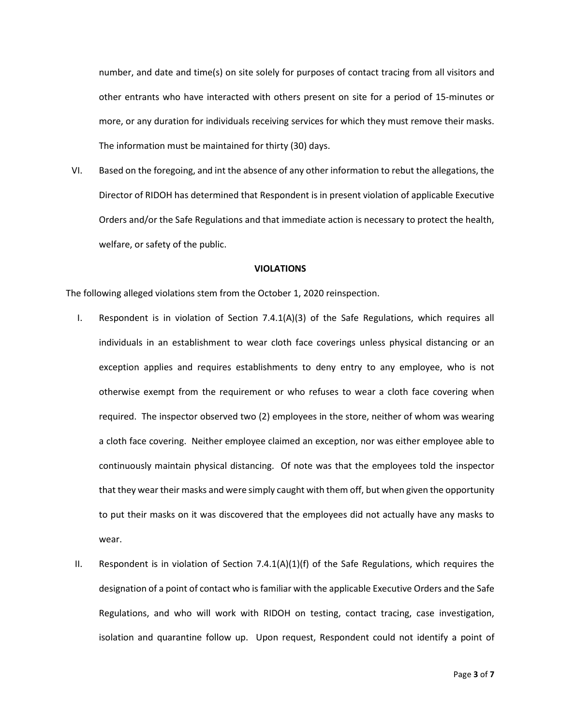number, and date and time(s) on site solely for purposes of contact tracing from all visitors and other entrants who have interacted with others present on site for a period of 15-minutes or more, or any duration for individuals receiving services for which they must remove their masks. The information must be maintained for thirty (30) days.

VI. Based on the foregoing, and int the absence of any other information to rebut the allegations, the Director of RIDOH has determined that Respondent is in present violation of applicable Executive Orders and/or the Safe Regulations and that immediate action is necessary to protect the health, welfare, or safety of the public.

#### VIOLATIONS

The following alleged violations stem from the October 1, 2020 reinspection.

- I. Respondent is in violation of Section 7.4.1(A)(3) of the Safe Regulations, which requires all individuals in an establishment to wear cloth face coverings unless physical distancing or an exception applies and requires establishments to deny entry to any employee, who is not otherwise exempt from the requirement or who refuses to wear a cloth face covering when required. The inspector observed two (2) employees in the store, neither of whom was wearing a cloth face covering. Neither employee claimed an exception, nor was either employee able to continuously maintain physical distancing. Of note was that the employees told the inspector that they wear their masks and were simply caught with them off, but when given the opportunity to put their masks on it was discovered that the employees did not actually have any masks to wear.
- II. Respondent is in violation of Section 7.4.1(A)(1)(f) of the Safe Regulations, which requires the designation of a point of contact who is familiar with the applicable Executive Orders and the Safe Regulations, and who will work with RIDOH on testing, contact tracing, case investigation, isolation and quarantine follow up. Upon request, Respondent could not identify a point of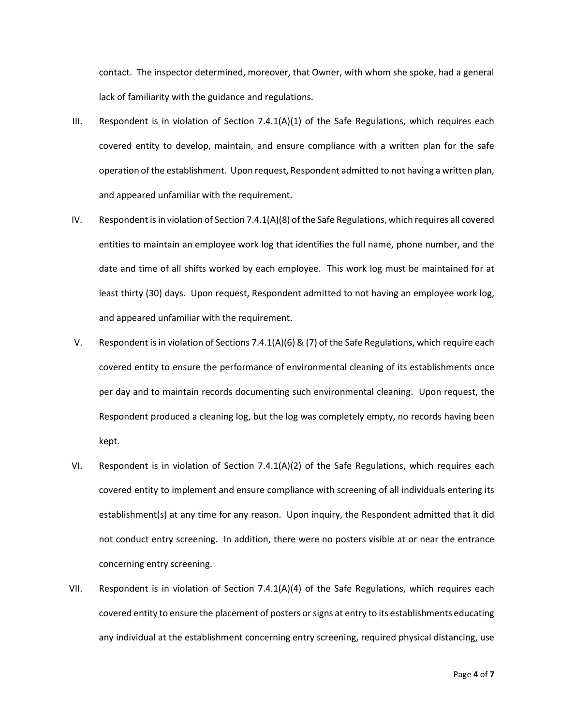contact. The inspector determined, moreover, that Owner, with whom she spoke, had a general lack of familiarity with the guidance and regulations.

- III. Respondent is in violation of Section 7.4.1(A)(1) of the Safe Regulations, which requires each covered entity to develop, maintain, and ensure compliance with a written plan for the safe operation of the establishment. Upon request, Respondent admitted to not having a written plan, and appeared unfamiliar with the requirement.
- IV. Respondent is in violation of Section 7.4.1(A)(8) of the Safe Regulations, which requires all covered entities to maintain an employee work log that identifies the full name, phone number, and the date and time of all shifts worked by each employee. This work log must be maintained for at least thirty (30) days. Upon request, Respondent admitted to not having an employee work log, and appeared unfamiliar with the requirement.
- V. Respondent is in violation of Sections 7.4.1(A)(6) & (7) of the Safe Regulations, which require each covered entity to ensure the performance of environmental cleaning of its establishments once per day and to maintain records documenting such environmental cleaning. Upon request, the Respondent produced a cleaning log, but the log was completely empty, no records having been kept.
- VI. Respondent is in violation of Section 7.4.1(A)(2) of the Safe Regulations, which requires each covered entity to implement and ensure compliance with screening of all individuals entering its establishment(s) at any time for any reason. Upon inquiry, the Respondent admitted that it did not conduct entry screening. In addition, there were no posters visible at or near the entrance concerning entry screening.
- VII. Respondent is in violation of Section 7.4.1(A)(4) of the Safe Regulations, which requires each covered entity to ensure the placement of posters or signs at entry to its establishments educating any individual at the establishment concerning entry screening, required physical distancing, use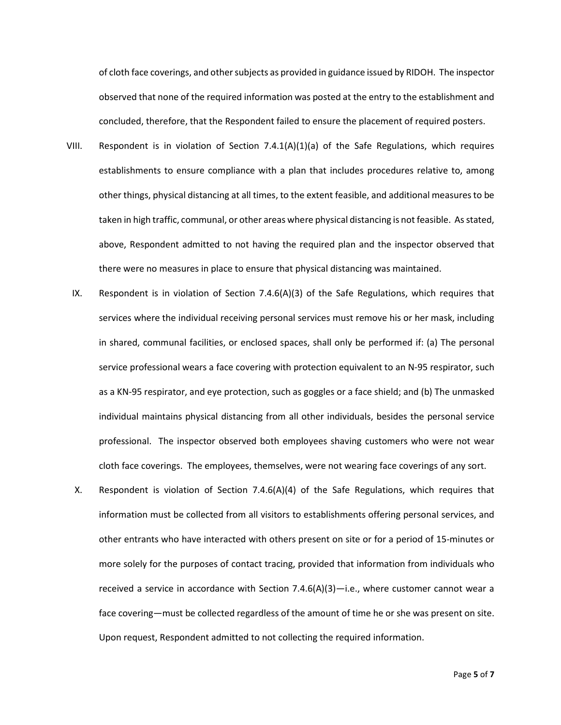of cloth face coverings, and other subjects as provided in guidance issued by RIDOH. The inspector observed that none of the required information was posted at the entry to the establishment and concluded, therefore, that the Respondent failed to ensure the placement of required posters.

- VIII. Respondent is in violation of Section 7.4.1(A)(1)(a) of the Safe Regulations, which requires establishments to ensure compliance with a plan that includes procedures relative to, among other things, physical distancing at all times, to the extent feasible, and additional measures to be taken in high traffic, communal, or other areas where physical distancing is not feasible. As stated, above, Respondent admitted to not having the required plan and the inspector observed that there were no measures in place to ensure that physical distancing was maintained.
- IX. Respondent is in violation of Section 7.4.6(A)(3) of the Safe Regulations, which requires that services where the individual receiving personal services must remove his or her mask, including in shared, communal facilities, or enclosed spaces, shall only be performed if: (a) The personal service professional wears a face covering with protection equivalent to an N-95 respirator, such as a KN-95 respirator, and eye protection, such as goggles or a face shield; and (b) The unmasked individual maintains physical distancing from all other individuals, besides the personal service professional. The inspector observed both employees shaving customers who were not wear cloth face coverings. The employees, themselves, were not wearing face coverings of any sort.
- X. Respondent is violation of Section 7.4.6(A)(4) of the Safe Regulations, which requires that information must be collected from all visitors to establishments offering personal services, and other entrants who have interacted with others present on site or for a period of 15-minutes or more solely for the purposes of contact tracing, provided that information from individuals who received a service in accordance with Section 7.4.6(A)(3)—i.e., where customer cannot wear a face covering—must be collected regardless of the amount of time he or she was present on site. Upon request, Respondent admitted to not collecting the required information.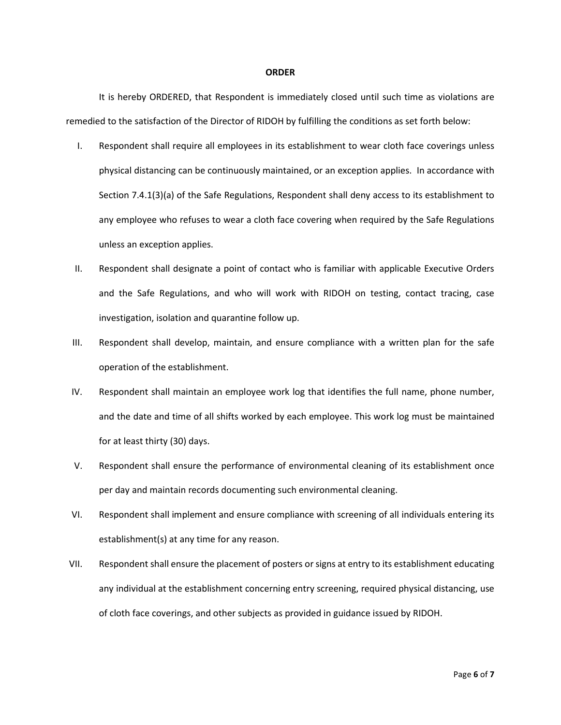#### **ORDER**

It is hereby ORDERED, that Respondent is immediately closed until such time as violations are remedied to the satisfaction of the Director of RIDOH by fulfilling the conditions as set forth below:

- I. Respondent shall require all employees in its establishment to wear cloth face coverings unless physical distancing can be continuously maintained, or an exception applies. In accordance with Section 7.4.1(3)(a) of the Safe Regulations, Respondent shall deny access to its establishment to any employee who refuses to wear a cloth face covering when required by the Safe Regulations unless an exception applies.
- II. Respondent shall designate a point of contact who is familiar with applicable Executive Orders and the Safe Regulations, and who will work with RIDOH on testing, contact tracing, case investigation, isolation and quarantine follow up.
- III. Respondent shall develop, maintain, and ensure compliance with a written plan for the safe operation of the establishment.
- IV. Respondent shall maintain an employee work log that identifies the full name, phone number, and the date and time of all shifts worked by each employee. This work log must be maintained for at least thirty (30) days.
- V. Respondent shall ensure the performance of environmental cleaning of its establishment once per day and maintain records documenting such environmental cleaning.
- VI. Respondent shall implement and ensure compliance with screening of all individuals entering its establishment(s) at any time for any reason.
- VII. Respondent shall ensure the placement of posters or signs at entry to its establishment educating any individual at the establishment concerning entry screening, required physical distancing, use of cloth face coverings, and other subjects as provided in guidance issued by RIDOH.